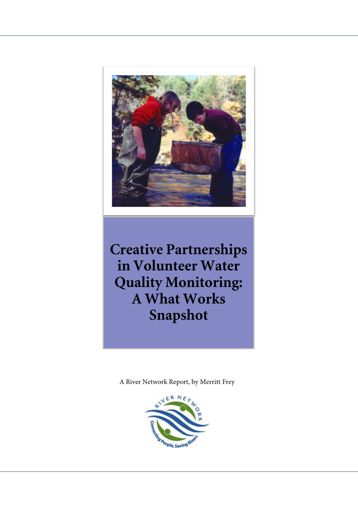

**Creative Partnerships in Volunteer Water Quality Monitoring: A What Works Snapshot** 

A River Network Report, by Merritt Frey

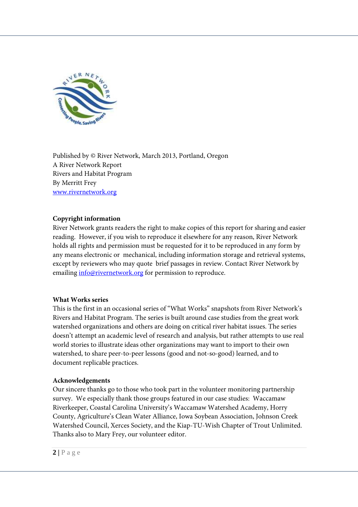

Published by © River Network, March 2013, Portland, Oregon A River Network Report Rivers and Habitat Program By Merritt Frey www.rivernetwork.org

#### **Copyright information**

River Network grants readers the right to make copies of this report for sharing and easier reading. However, if you wish to reproduce it elsewhere for any reason, River Network holds all rights and permission must be requested for it to be reproduced in any form by any means electronic or mechanical, including information storage and retrieval systems, except by reviewers who may quote brief passages in review. Contact River Network by emailing info@rivernetwork.org for permission to reproduce.

#### **What Works series**

This is the first in an occasional series of "What Works" snapshots from River Network's Rivers and Habitat Program. The series is built around case studies from the great work watershed organizations and others are doing on critical river habitat issues. The series doesn't attempt an academic level of research and analysis, but rather attempts to use real world stories to illustrate ideas other organizations may want to import to their own watershed, to share peer-to-peer lessons (good and not-so-good) learned, and to document replicable practices.

#### **Acknowledgements**

Our sincere thanks go to those who took part in the volunteer monitoring partnership survey. We especially thank those groups featured in our case studies: Waccamaw Riverkeeper, Coastal Carolina University's Waccamaw Watershed Academy, Horry County, Agriculture's Clean Water Alliance, Iowa Soybean Association, Johnson Creek Watershed Council, Xerces Society, and the Kiap-TU-Wish Chapter of Trout Unlimited. Thanks also to Mary Frey, our volunteer editor.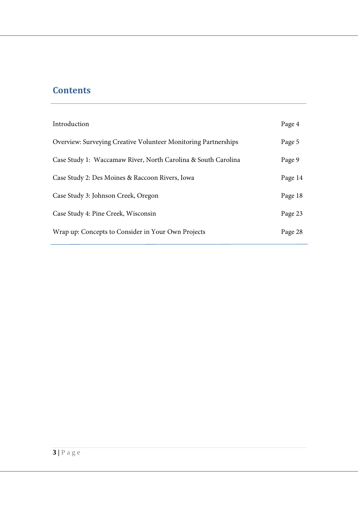# **Contents**

| Introduction                                                   | Page 4  |
|----------------------------------------------------------------|---------|
| Overview: Surveying Creative Volunteer Monitoring Partnerships | Page 5  |
| Case Study 1: Waccamaw River, North Carolina & South Carolina  | Page 9  |
| Case Study 2: Des Moines & Raccoon Rivers, Iowa                | Page 14 |
| Case Study 3: Johnson Creek, Oregon                            | Page 18 |
| Case Study 4: Pine Creek, Wisconsin                            | Page 23 |
| Wrap up: Concepts to Consider in Your Own Projects             | Page 28 |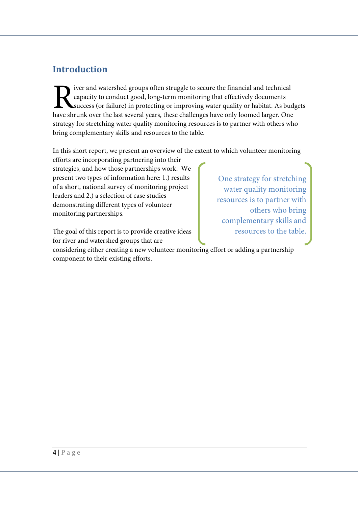# **Introduction**

iver and watershed groups often struggle to secure the financial and technical capacity to conduct good, long-term monitoring that effectively documents success (or failure) in protecting or improving water quality or habitat. As budgets Figure shrunk over the groups often struggle to secure the financial and technical capacity to conduct good, long-term monitoring that effectively documents success (or failure) in protecting or improving water quality or strategy for stretching water quality monitoring resources is to partner with others who bring complementary skills and resources to the table.

In this short report, we present an overview of the extent to which volunteer monitoring

efforts are incorporating partnering into their strategies, and how those partnerships work. We present two types of information here: 1.) results of a short, national survey of monitoring project leaders and 2.) a selection of case studies demonstrating different types of volunteer monitoring partnerships.

The goal of this report is to provide creative ideas for river and watershed groups that are

One strategy for stretching water quality monitoring resources is to partner with others who bring complementary skills and resources to the table.

considering either creating a new volunteer monitoring effort or adding a partnership component to their existing efforts.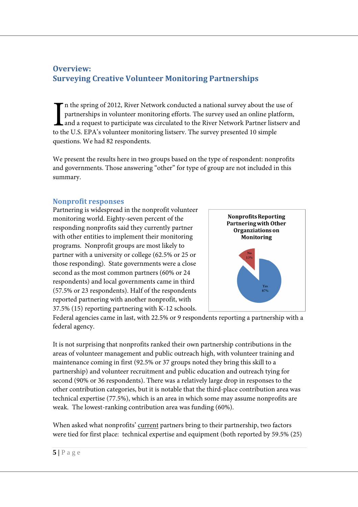# **Overview: Surveying Creative Volunteer Monitoring Partnerships**

n the spring of 2012, River Network conducted a national survey about the use of partnerships in volunteer monitoring efforts. The survey used an online platform, and a request to participate was circulated to the River Network Partner listserv and to the U.S. EPA's volunteer monitoring listserv. The survey presented 10 simple questions. We had 82 respondents.  $\prod_{\text{to th}}$ 

We present the results here in two groups based on the type of respondent: nonprofits and governments. Those answering "other" for type of group are not included in this summary.

#### **Nonprofit responses**

Partnering is widespread in the nonprofit volunteer monitoring world. Eighty-seven percent of the responding nonprofits said they currently partner with other entities to implement their monitoring programs. Nonprofit groups are most likely to partner with a university or college (62.5% or 25 or those responding). State governments were a close second as the most common partners (60% or 24 respondents) and local governments came in third (57.5% or 23 respondents). Half of the respondents reported partnering with another nonprofit, with 37.5% (15) reporting partnering with K-12 schools.



Federal agencies came in last, with 22.5% or 9 respondents reporting a partnership with a federal agency.

It is not surprising that nonprofits ranked their own partnership contributions in the areas of volunteer management and public outreach high, with volunteer training and maintenance coming in first (92.5% or 37 groups noted they bring this skill to a partnership) and volunteer recruitment and public education and outreach tying for second (90% or 36 respondents). There was a relatively large drop in responses to the other contribution categories, but it is notable that the third-place contribution area was technical expertise (77.5%), which is an area in which some may assume nonprofits are weak. The lowest-ranking contribution area was funding (60%).

When asked what nonprofits' current partners bring to their partnership, two factors were tied for first place: technical expertise and equipment (both reported by 59.5% (25)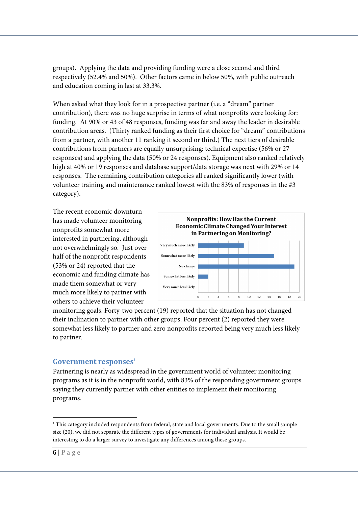groups). Applying the data and providing funding were a close second and third respectively (52.4% and 50%). Other factors came in below 50%, with public outreach and education coming in last at 33.3%.

When asked what they look for in a prospective partner (i.e. a "dream" partner contribution), there was no huge surprise in terms of what nonprofits were looking for: funding. At 90% or 43 of 48 responses, funding was far and away the leader in desirable contribution areas. (Thirty ranked funding as their first choice for "dream" contributions from a partner, with another 11 ranking it second or third.) The next tiers of desirable contributions from partners are equally unsurprising: technical expertise (56% or 27 responses) and applying the data (50% or 24 responses). Equipment also ranked relatively high at 40% or 19 responses and database support/data storage was next with 29% or 14 responses. The remaining contribution categories all ranked significantly lower (with volunteer training and maintenance ranked lowest with the 83% of responses in the #3 category).

The recent economic downturn has made volunteer monitoring nonprofits somewhat more interested in partnering, although not overwhelmingly so. Just over half of the nonprofit respondents (53% or 24) reported that the economic and funding climate has made them somewhat or very much more likely to partner with others to achieve their volunteer



monitoring goals. Forty-two percent (19) reported that the situation has not changed their inclination to partner with other groups. Four percent (2) reported they were somewhat less likely to partner and zero nonprofits reported being very much less likely to partner.

#### **Government responses<sup>1</sup>**

Partnering is nearly as widespread in the government world of volunteer monitoring programs as it is in the nonprofit world, with 83% of the responding government groups saying they currently partner with other entities to implement their monitoring programs.

<sup>-</sup>1 This category included respondents from federal, state and local governments. Due to the small sample size (20), we did not separate the different types of governments for individual analysis. It would be interesting to do a larger survey to investigate any differences among these groups.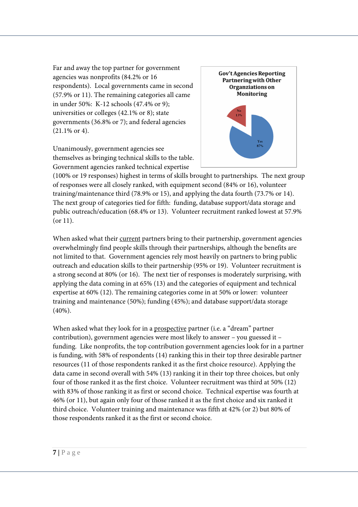Far and away the top partner for government agencies was nonprofits (84.2% or 16 respondents). Local governments came in second (57.9% or 11). The remaining categories all came in under 50%: K-12 schools (47.4% or 9); universities or colleges (42.1% or 8); state governments (36.8% or 7); and federal agencies (21.1% or 4).

Unanimously, government agencies see themselves as bringing technical skills to the table. Government agencies ranked technical expertise



(100% or 19 responses) highest in terms of skills brought to partnerships. The next group of responses were all closely ranked, with equipment second (84% or 16), volunteer training/maintenance third (78.9% or 15), and applying the data fourth (73.7% or 14). The next group of categories tied for fifth: funding, database support/data storage and public outreach/education (68.4% or 13). Volunteer recruitment ranked lowest at 57.9% (or 11).

When asked what their current partners bring to their partnership, government agencies overwhelmingly find people skills through their partnerships, although the benefits are not limited to that. Government agencies rely most heavily on partners to bring public outreach and education skills to their partnership (95% or 19). Volunteer recruitment is a strong second at 80% (or 16). The next tier of responses is moderately surprising, with applying the data coming in at 65% (13) and the categories of equipment and technical expertise at 60% (12). The remaining categories come in at 50% or lower: volunteer training and maintenance (50%); funding (45%); and database support/data storage (40%).

When asked what they look for in a prospective partner (i.e. a "dream" partner contribution), government agencies were most likely to answer – you guessed it – funding. Like nonprofits, the top contribution government agencies look for in a partner is funding, with 58% of respondents (14) ranking this in their top three desirable partner resources (11 of those respondents ranked it as the first choice resource). Applying the data came in second overall with 54% (13) ranking it in their top three choices, but only four of those ranked it as the first choice. Volunteer recruitment was third at 50% (12) with 83% of those ranking it as first or second choice. Technical expertise was fourth at 46% (or 11), but again only four of those ranked it as the first choice and six ranked it third choice. Volunteer training and maintenance was fifth at 42% (or 2) but 80% of those respondents ranked it as the first or second choice.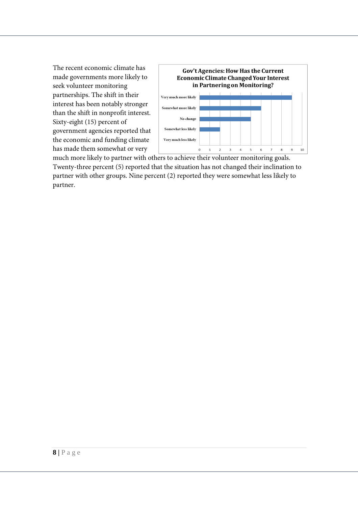The recent economic climate has made governments more likely to seek volunteer monitoring partnerships. The shift in their interest has been notably stronger than the shift in nonprofit interest. Sixty-eight (15) percent of government agencies reported that the economic and funding climate has made them somewhat or very



much more likely to partner with others to achieve their volunteer monitoring goals. Twenty-three percent (5) reported that the situation has not changed their inclination to partner with other groups. Nine percent (2) reported they were somewhat less likely to partner.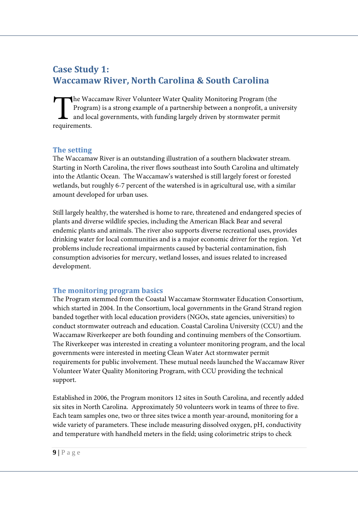# **Case Study 1: Waccamaw River, North Carolina & South Carolina**

he Waccamaw River Volunteer Water Quality Monitoring Program (the Program) is a strong example of a partnership between a nonprofit, a university and local governments, with funding largely driven by stormwater permit The Wace<br>Program<br>and loc<br>requirements.

#### **The setting**

The Waccamaw River is an outstanding illustration of a southern blackwater stream. Starting in North Carolina, the river flows southeast into South Carolina and ultimately into the Atlantic Ocean. The Waccamaw's watershed is still largely forest or forested wetlands, but roughly 6-7 percent of the watershed is in agricultural use, with a similar amount developed for urban uses.

Still largely healthy, the watershed is home to rare, threatened and endangered species of plants and diverse wildlife species, including the American Black Bear and several endemic plants and animals. The river also supports diverse recreational uses, provides drinking water for local communities and is a major economic driver for the region. Yet problems include recreational impairments caused by bacterial contamination, fish consumption advisories for mercury, wetland losses, and issues related to increased development.

### **The monitoring program basics**

The Program stemmed from the Coastal Waccamaw Stormwater Education Consortium, which started in 2004. In the Consortium, local governments in the Grand Strand region banded together with local education providers (NGOs, state agencies, universities) to conduct stormwater outreach and education. Coastal Carolina University (CCU) and the Waccamaw Riverkeeper are both founding and continuing members of the Consortium. The Riverkeeper was interested in creating a volunteer monitoring program, and the local governments were interested in meeting Clean Water Act stormwater permit requirements for public involvement. These mutual needs launched the Waccamaw River Volunteer Water Quality Monitoring Program, with CCU providing the technical support.

Established in 2006, the Program monitors 12 sites in South Carolina, and recently added six sites in North Carolina. Approximately 50 volunteers work in teams of three to five. Each team samples one, two or three sites twice a month year-around, monitoring for a wide variety of parameters. These include measuring dissolved oxygen, pH, conductivity and temperature with handheld meters in the field; using colorimetric strips to check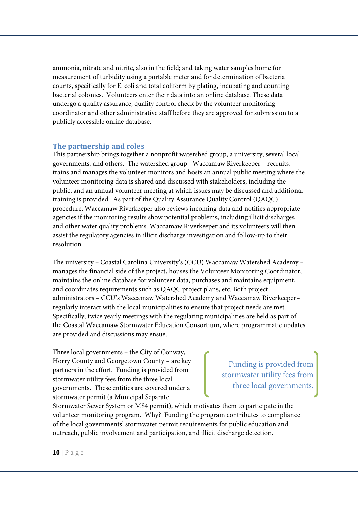ammonia, nitrate and nitrite, also in the field; and taking water samples home for measurement of turbidity using a portable meter and for determination of bacteria counts, specifically for E. coli and total coliform by plating, incubating and counting bacterial colonies. Volunteers enter their data into an online database. These data undergo a quality assurance, quality control check by the volunteer monitoring coordinator and other administrative staff before they are approved for submission to a publicly accessible online database.

#### **The partnership and roles**

This partnership brings together a nonprofit watershed group, a university, several local governments, and others. The watershed group –Waccamaw Riverkeeper – recruits, trains and manages the volunteer monitors and hosts an annual public meeting where the volunteer monitoring data is shared and discussed with stakeholders, including the public, and an annual volunteer meeting at which issues may be discussed and additional training is provided. As part of the Quality Assurance Quality Control (QAQC) procedure, Waccamaw Riverkeeper also reviews incoming data and notifies appropriate agencies if the monitoring results show potential problems, including illicit discharges and other water quality problems. Waccamaw Riverkeeper and its volunteers will then assist the regulatory agencies in illicit discharge investigation and follow-up to their resolution.

The university – Coastal Carolina University's (CCU) Waccamaw Watershed Academy – manages the financial side of the project, houses the Volunteer Monitoring Coordinator, maintains the online database for volunteer data, purchases and maintains equipment, and coordinates requirements such as QAQC project plans, etc. Both project administrators – CCU's Waccamaw Watershed Academy and Waccamaw Riverkeeper– regularly interact with the local municipalities to ensure that project needs are met. Specifically, twice yearly meetings with the regulating municipalities are held as part of the Coastal Waccamaw Stormwater Education Consortium, where programmatic updates are provided and discussions may ensue.

Three local governments – the City of Conway, Horry County and Georgetown County – are key partners in the effort. Funding is provided from stormwater utility fees from the three local governments. These entities are covered under a stormwater permit (a Municipal Separate

Funding is provided from stormwater utility fees from three local governments.

Stormwater Sewer System or MS4 permit), which motivates them to participate in the volunteer monitoring program. Why? Funding the program contributes to compliance of the local governments' stormwater permit requirements for public education and outreach, public involvement and participation, and illicit discharge detection.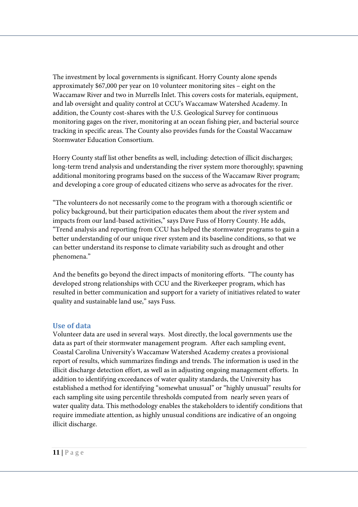The investment by local governments is significant. Horry County alone spends approximately \$67,000 per year on 10 volunteer monitoring sites – eight on the Waccamaw River and two in Murrells Inlet. This covers costs for materials, equipment, and lab oversight and quality control at CCU's Waccamaw Watershed Academy. In addition, the County cost-shares with the U.S. Geological Survey for continuous monitoring gages on the river, monitoring at an ocean fishing pier, and bacterial source tracking in specific areas. The County also provides funds for the Coastal Waccamaw Stormwater Education Consortium.

Horry County staff list other benefits as well, including: detection of illicit discharges; long-term trend analysis and understanding the river system more thoroughly; spawning additional monitoring programs based on the success of the Waccamaw River program; and developing a core group of educated citizens who serve as advocates for the river.

"The volunteers do not necessarily come to the program with a thorough scientific or policy background, but their participation educates them about the river system and impacts from our land-based activities," says Dave Fuss of Horry County. He adds, "Trend analysis and reporting from CCU has helped the stormwater programs to gain a better understanding of our unique river system and its baseline conditions, so that we can better understand its response to climate variability such as drought and other phenomena."

And the benefits go beyond the direct impacts of monitoring efforts. "The county has developed strong relationships with CCU and the Riverkeeper program, which has resulted in better communication and support for a variety of initiatives related to water quality and sustainable land use," says Fuss.

#### **Use of data**

Volunteer data are used in several ways. Most directly, the local governments use the data as part of their stormwater management program. After each sampling event, Coastal Carolina University's Waccamaw Watershed Academy creates a provisional report of results, which summarizes findings and trends. The information is used in the illicit discharge detection effort, as well as in adjusting ongoing management efforts. In addition to identifying exceedances of water quality standards, the University has established a method for identifying "somewhat unusual" or "highly unusual" results for each sampling site using percentile thresholds computed from nearly seven years of water quality data. This methodology enables the stakeholders to identify conditions that require immediate attention, as highly unusual conditions are indicative of an ongoing illicit discharge.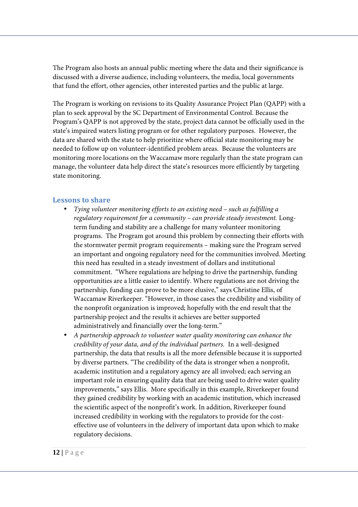The Program also hosts an annual public meeting where the data and their significance is discussed with a diverse audience, including volunteers, the media, local governments that fund the effort, other agencies, other interested parties and the public at large.

The Program is working on revisions to its Quality Assurance Project Plan (QAPP) with a plan to seek approval by the SC Department of Environmental Control. Because the Program's QAPP is not approved by the state, project data cannot be officially used in the state's impaired waters listing program or for other regulatory purposes. However, the data are shared with the state to help prioritize where official state monitoring may be needed to follow up on volunteer-identified problem areas. Because the volunteers are monitoring more locations on the Waccamaw more regularly than the state program can manage, the volunteer data help direct the state's resources more efficiently by targeting state monitoring.

#### **Lessons to share**

- *Tying volunteer monitoring efforts to an existing need such as fulfilling a regulatory requirement for a community – can provide steady investment.* Longterm funding and stability are a challenge for many volunteer monitoring programs. The Program got around this problem by connecting their efforts with the stormwater permit program requirements – making sure the Program served an important and ongoing regulatory need for the communities involved. Meeting this need has resulted in a steady investment of dollars and institutional commitment. "Where regulations are helping to drive the partnership, funding opportunities are a little easier to identify. Where regulations are not driving the partnership, funding can prove to be more elusive," says Christine Ellis, of Waccamaw Riverkeeper. "However, in those cases the credibility and visibility of the nonprofit organization is improved; hopefully with the end result that the partnership project and the results it achieves are better supported administratively and financially over the long-term."
- *A partnership approach to volunteer water quality monitoring can enhance the credibility of your data, and of the individual partners.* In a well-designed partnership, the data that results is all the more defensible because it is supported by diverse partners. "The credibility of the data is stronger when a nonprofit, academic institution and a regulatory agency are all involved; each serving an important role in ensuring quality data that are being used to drive water quality improvements," says Ellis. More specifically in this example, Riverkeeper found they gained credibility by working with an academic institution, which increased the scientific aspect of the nonprofit's work. In addition, Riverkeeper found increased credibility in working with the regulators to provide for the costeffective use of volunteers in the delivery of important data upon which to make regulatory decisions.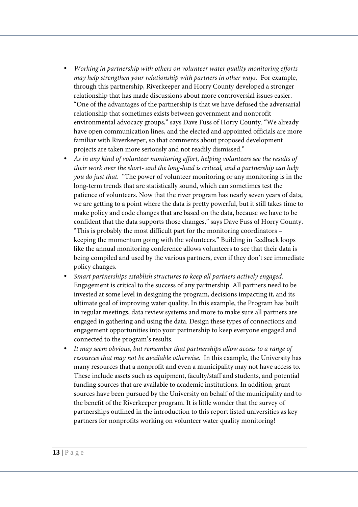- *Working in partnership with others on volunteer water quality monitoring efforts may help strengthen your relationship with partners in other ways.* For example, through this partnership, Riverkeeper and Horry County developed a stronger relationship that has made discussions about more controversial issues easier. "One of the advantages of the partnership is that we have defused the adversarial relationship that sometimes exists between government and nonprofit environmental advocacy groups," says Dave Fuss of Horry County. "We already have open communication lines, and the elected and appointed officials are more familiar with Riverkeeper, so that comments about proposed development projects are taken more seriously and not readily dismissed."
- *As in any kind of volunteer monitoring effort, helping volunteers see the results of their work over the short- and the long-haul is critical, and a partnership can help you do just that.* "The power of volunteer monitoring or any monitoring is in the long-term trends that are statistically sound, which can sometimes test the patience of volunteers. Now that the river program has nearly seven years of data, we are getting to a point where the data is pretty powerful, but it still takes time to make policy and code changes that are based on the data, because we have to be confident that the data supports those changes," says Dave Fuss of Horry County. "This is probably the most difficult part for the monitoring coordinators – keeping the momentum going with the volunteers." Building in feedback loops like the annual monitoring conference allows volunteers to see that their data is being compiled and used by the various partners, even if they don't see immediate policy changes.
- *Smart partnerships establish structures to keep all partners actively engaged.* Engagement is critical to the success of any partnership. All partners need to be invested at some level in designing the program, decisions impacting it, and its ultimate goal of improving water quality. In this example, the Program has built in regular meetings, data review systems and more to make sure all partners are engaged in gathering and using the data. Design these types of connections and engagement opportunities into your partnership to keep everyone engaged and connected to the program's results.
- *It may seem obvious, but remember that partnerships allow access to a range of resources that may not be available otherwise*. In this example, the University has many resources that a nonprofit and even a municipality may not have access to. These include assets such as equipment, faculty/staff and students, and potential funding sources that are available to academic institutions. In addition, grant sources have been pursued by the University on behalf of the municipality and to the benefit of the Riverkeeper program. It is little wonder that the survey of partnerships outlined in the introduction to this report listed universities as key partners for nonprofits working on volunteer water quality monitoring!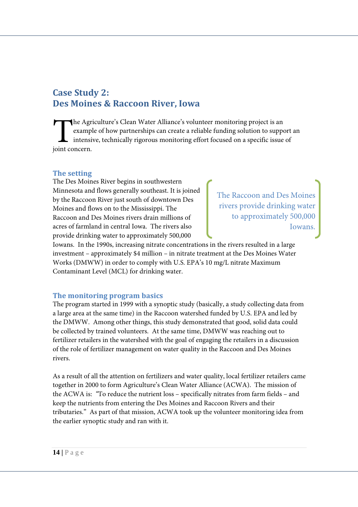# **Case Study 2: Des Moines & Raccoon River, Iowa**

he Agriculture's Clean Water Alliance's volunteer monitoring project is an example of how partnerships can create a reliable funding solution to support an intensive, technically rigorous monitoring effort focused on a specific issue of The Agries<br>
example<br>
intensive intensive due to the same of the same of the same of the same of the same of the same of the same of the same of the same of the same of the same of the same of the same of the same of the sa

#### **The setting**

The Des Moines River begins in southwestern Minnesota and flows generally southeast. It is joined by the Raccoon River just south of downtown Des Moines and flows on to the Mississippi. The Raccoon and Des Moines rivers drain millions of acres of farmland in central Iowa. The rivers also provide drinking water to approximately 500,000

The Raccoon and Des Moines rivers provide drinking water to approximately 500,000 Iowans.

Iowans. In the 1990s, increasing nitrate concentrations in the rivers resulted in a large investment – approximately \$4 million – in nitrate treatment at the Des Moines Water Works (DMWW) in order to comply with U.S. EPA's 10 mg/L nitrate Maximum Contaminant Level (MCL) for drinking water.

#### **The monitoring program basics**

The program started in 1999 with a synoptic study (basically, a study collecting data from a large area at the same time) in the Raccoon watershed funded by U.S. EPA and led by the DMWW. Among other things, this study demonstrated that good, solid data could be collected by trained volunteers. At the same time, DMWW was reaching out to fertilizer retailers in the watershed with the goal of engaging the retailers in a discussion of the role of fertilizer management on water quality in the Raccoon and Des Moines rivers.

As a result of all the attention on fertilizers and water quality, local fertilizer retailers came together in 2000 to form Agriculture's Clean Water Alliance (ACWA). The mission of the ACWA is: *"*To reduce the nutrient loss – specifically nitrates from farm fields – and keep the nutrients from entering the Des Moines and Raccoon Rivers and their tributaries." As part of that mission, ACWA took up the volunteer monitoring idea from the earlier synoptic study and ran with it.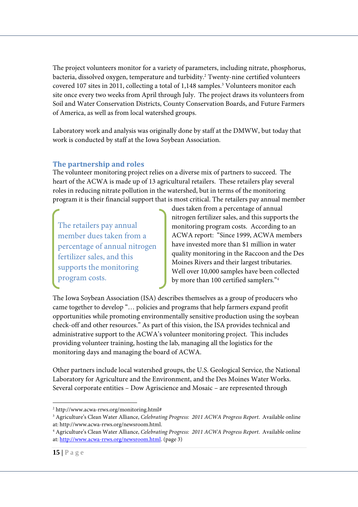The project volunteers monitor for a variety of parameters, including nitrate, phosphorus, bacteria, dissolved oxygen, temperature and turbidity.<sup>2</sup> Twenty-nine certified volunteers covered 107 sites in 2011, collecting a total of 1,148 samples.<sup>3</sup> Volunteers monitor each site once every two weeks from April through July. The project draws its volunteers from Soil and Water Conservation Districts, County Conservation Boards, and Future Farmers of America, as well as from local watershed groups.

Laboratory work and analysis was originally done by staff at the DMWW, but today that work is conducted by staff at the Iowa Soybean Association.

## **The partnership and roles**

The volunteer monitoring project relies on a diverse mix of partners to succeed. The heart of the ACWA is made up of 13 agricultural retailers. These retailers play several roles in reducing nitrate pollution in the watershed, but in terms of the monitoring program it is their financial support that is most critical. The retailers pay annual member

The retailers pay annual member dues taken from a percentage of annual nitrogen fertilizer sales, and this supports the monitoring program costs.

dues taken from a percentage of annual nitrogen fertilizer sales, and this supports the monitoring program costs. According to an ACWA report: "Since 1999, ACWA members have invested more than \$1 million in water quality monitoring in the Raccoon and the Des Moines Rivers and their largest tributaries. Well over 10,000 samples have been collected by more than 100 certified samplers."<sup>4</sup>

The Iowa Soybean Association (ISA) describes themselves as a group of producers who came together to develop "… policies and programs that help farmers expand profit opportunities while promoting environmentally sensitive production using the soybean check-off and other resources." As part of this vision, the ISA provides technical and administrative support to the ACWA's volunteer monitoring project. This includes providing volunteer training, hosting the lab, managing all the logistics for the monitoring days and managing the board of ACWA.

Other partners include local watershed groups, the U.S. Geological Service, the National Laboratory for Agriculture and the Environment, and the Des Moines Water Works. Several corporate entities – Dow Agriscience and Mosaic – are represented through

<sup>&</sup>lt;u>.</u> 2 http://www.acwa-rrws.org/monitoring.html#

<sup>3</sup> Agriculture's Clean Water Alliance, *Celebrating Progress: 2011 ACWA Progress Report*. Available online at: http://www.acwa-rrws.org/newsroom.html.

<sup>4</sup> Agriculture's Clean Water Alliance, *Celebrating Progress: 2011 ACWA Progress Report*. Available online at: http://www.acwa-rrws.org/newsroom.html. (page 3)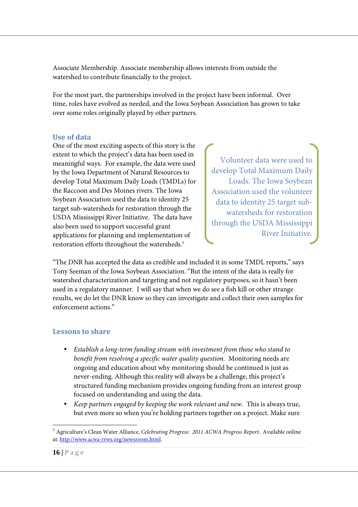Associate Membership. Associate membership allows interests from outside the watershed to contribute financially to the project.

For the most part, the partnerships involved in the project have been informal. Over time, roles have evolved as needed, and the Iowa Soybean Association has grown to take over some roles originally played by other partners.

#### **Use of data**

One of the most exciting aspects of this story is the extent to which the project's data has been used in meaningful ways. For example, the data were used by the Iowa Department of Natural Resources to develop Total Maximum Daily Loads (TMDLs) for the Raccoon and Des Moines rivers. The Iowa Soybean Association used the data to identity 25 target sub-watersheds for restoration through the USDA Mississippi River Initiative. The data have also been used to support successful grant applications for planning and implementation of restoration efforts throughout the watersheds.<sup>5</sup>

Volunteer data were used to develop Total Maximum Daily Loads. The Iowa Soybean Association used the volunteer data to identity 25 target subwatersheds for restoration through the USDA Mississippi River Initiative.

"The DNR has accepted the data as credible and included it in some TMDL reports," says Tony Seeman of the Iowa Soybean Association. "But the intent of the data is really for watershed characterization and targeting and not regulatory purposes, so it hasn't been used in a regulatory manner. I will say that when we do see a fish kill or other strange results, we do let the DNR know so they can investigate and collect their own samples for enforcement actions."

### **Lessons to share**

- *Establish a long-term funding stream with investment from those who stand to benefit from resolving a specific water quality question.* Monitoring needs are ongoing and education about why monitoring should be continued is just as never-ending. Although this reality will always be a challenge, this project's structured funding mechanism provides ongoing funding from an interest group focused on understanding and using the data.
- *Keep partners engaged by keeping the work relevant and new.* This is always true, but even more so when you're holding partners together on a project. Make sure

<sup>&</sup>lt;u>.</u> <sup>5</sup> Agriculture's Clean Water Alliance, *Celebrating Progress: 2011 ACWA Progress Report*. Available online at: http://www.acwa-rrws.org/newsroom.html.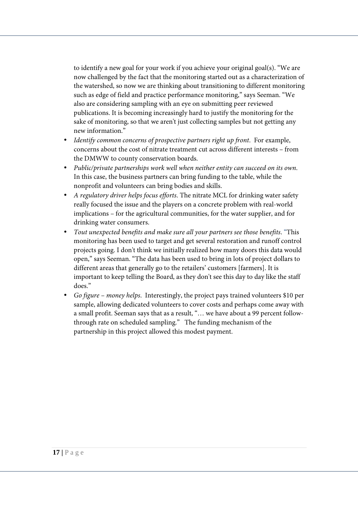to identify a new goal for your work if you achieve your original goal(s). "We are now challenged by the fact that the monitoring started out as a characterization of the watershed, so now we are thinking about transitioning to different monitoring such as edge of field and practice performance monitoring," says Seeman. "We also are considering sampling with an eye on submitting peer reviewed publications. It is becoming increasingly hard to justify the monitoring for the sake of monitoring, so that we aren't just collecting samples but not getting any new information."

- *Identify common concerns of prospective partners right up front*. For example, concerns about the cost of nitrate treatment cut across different interests – from the DMWW to county conservation boards.
- *Public/private partnerships work well when neither entity can succeed on its own*. In this case, the business partners can bring funding to the table, while the nonprofit and volunteers can bring bodies and skills.
- *A regulatory driver helps focus efforts*. The nitrate MCL for drinking water safety really focused the issue and the players on a concrete problem with real-world implications – for the agricultural communities, for the water supplier, and for drinking water consumers.
- *Tout unexpected benefits and make sure all your partners see those benefits*. "This monitoring has been used to target and get several restoration and runoff control projects going. I don't think we initially realized how many doors this data would open," says Seeman. "The data has been used to bring in lots of project dollars to different areas that generally go to the retailers' customers [farmers]. It is important to keep telling the Board, as they don't see this day to day like the staff does."
- *Go figure money helps*. Interestingly, the project pays trained volunteers \$10 per sample, allowing dedicated volunteers to cover costs and perhaps come away with a small profit. Seeman says that as a result, "… we have about a 99 percent followthrough rate on scheduled sampling." The funding mechanism of the partnership in this project allowed this modest payment.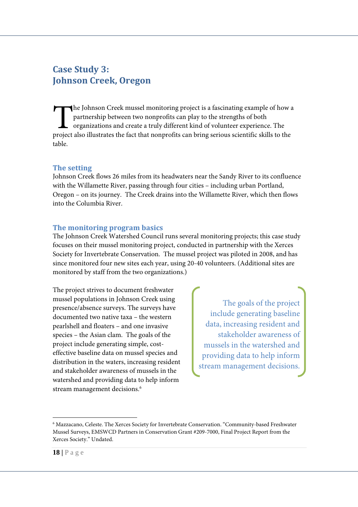# **Case Study 3: Johnson Creek, Oregon**

he Johnson Creek mussel monitoring project is a fascinating example of how a partnership between two nonprofits can play to the strengths of both organizations and create a truly different kind of volunteer experience. The The Johnson Creek mussel monitoring project is a fascinating example of how a partnership between two nonprofits can play to the strengths of both organizations and create a truly different kind of volunteer experience. Th table.

#### **The setting**

Johnson Creek flows 26 miles from its headwaters near the Sandy River to its confluence with the Willamette River, passing through four cities – including urban Portland, Oregon – on its journey. The Creek drains into the Willamette River, which then flows into the Columbia River.

#### **The monitoring program basics**

The Johnson Creek Watershed Council runs several monitoring projects; this case study focuses on their mussel monitoring project, conducted in partnership with the Xerces Society for Invertebrate Conservation. The mussel project was piloted in 2008, and has since monitored four new sites each year, using 20-40 volunteers. (Additional sites are monitored by staff from the two organizations.)

The project strives to document freshwater mussel populations in Johnson Creek using presence/absence surveys. The surveys have documented two native taxa – the western pearlshell and floaters – and one invasive species – the Asian clam. The goals of the project include generating simple, costeffective baseline data on mussel species and distribution in the waters, increasing resident and stakeholder awareness of mussels in the watershed and providing data to help inform stream management decisions.<sup>6</sup>

The goals of the project include generating baseline data, increasing resident and stakeholder awareness of mussels in the watershed and providing data to help inform stream management decisions.

-

<sup>6</sup> Mazzacano, Celeste. The Xerces Society for Invertebrate Conservation. "Community-based Freshwater Mussel Surveys, EMSWCD Partners in Conservation Grant #209-7000, Final Project Report from the Xerces Society." Undated.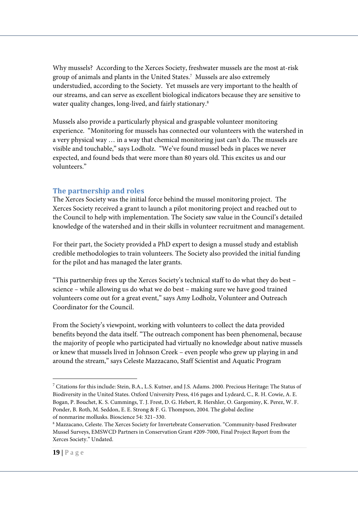Why mussels? According to the Xerces Society, freshwater mussels are the most at-risk group of animals and plants in the United States.<sup>7</sup> Mussels are also extremely understudied, according to the Society. Yet mussels are very important to the health of our streams, and can serve as excellent biological indicators because they are sensitive to water quality changes, long-lived, and fairly stationary.<sup>8</sup>

Mussels also provide a particularly physical and graspable volunteer monitoring experience. "Monitoring for mussels has connected our volunteers with the watershed in a very physical way … in a way that chemical monitoring just can't do. The mussels are visible and touchable," says Lodholz. "We've found mussel beds in places we never expected, and found beds that were more than 80 years old. This excites us and our volunteers."

#### **The partnership and roles**

The Xerces Society was the initial force behind the mussel monitoring project. The Xerces Society received a grant to launch a pilot monitoring project and reached out to the Council to help with implementation. The Society saw value in the Council's detailed knowledge of the watershed and in their skills in volunteer recruitment and management.

For their part, the Society provided a PhD expert to design a mussel study and establish credible methodologies to train volunteers. The Society also provided the initial funding for the pilot and has managed the later grants.

"This partnership frees up the Xerces Society's technical staff to do what they do best – science – while allowing us do what we do best – making sure we have good trained volunteers come out for a great event," says Amy Lodholz, Volunteer and Outreach Coordinator for the Council.

From the Society's viewpoint, working with volunteers to collect the data provided benefits beyond the data itself. "The outreach component has been phenomenal, because the majority of people who participated had virtually no knowledge about native mussels or knew that mussels lived in Johnson Creek – even people who grew up playing in and around the stream," says Celeste Mazzacano, Staff Scientist and Aquatic Program

-

 $^7$  Citations for this include: Stein, B.A., L.S. Kutner, and J.S. Adams. 2000. Precious Heritage: The Status of Biodiversity in the United States. Oxford University Press, 416 pages and Lydeard, C., R. H. Cowie, A. E. Bogan, P. Bouchet, K. S. Cummings, T. J. Frest, D. G. Hebert, R. Hershler, O. Gargominy, K. Perez, W. F. Ponder, B. Roth, M. Seddon, E. E. Strong & F. G. Thompson, 2004. The global decline of nonmarine mollusks. Bioscience 54: 321–330.

 $^8$ Mazzacano, Celeste. The Xerces Society for Invertebrate Conservation. "Community-based Freshwater Mussel Surveys, EMSWCD Partners in Conservation Grant #209-7000, Final Project Report from the Xerces Society." Undated.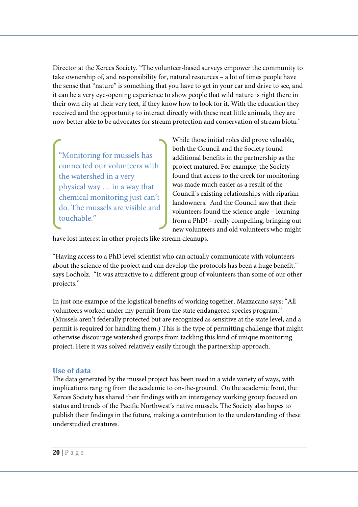Director at the Xerces Society. "The volunteer-based surveys empower the community to take ownership of, and responsibility for, natural resources – a lot of times people have the sense that "nature" is something that you have to get in your car and drive to see, and it can be a very eye-opening experience to show people that wild nature is right there in their own city at their very feet, if they know how to look for it. With the education they received and the opportunity to interact directly with these neat little animals, they are now better able to be advocates for stream protection and conservation of stream biota."

"Monitoring for mussels has connected our volunteers with the watershed in a very physical way … in a way that chemical monitoring just can't do. The mussels are visible and touchable."

While those initial roles did prove valuable, both the Council and the Society found additional benefits in the partnership as the project matured. For example, the Society found that access to the creek for monitoring was made much easier as a result of the Council's existing relationships with riparian landowners. And the Council saw that their volunteers found the science angle – learning from a PhD! – really compelling, bringing out new volunteers and old volunteers who might

have lost interest in other projects like stream cleanups.

"Having access to a PhD level scientist who can actually communicate with volunteers about the science of the project and can develop the protocols has been a huge benefit," says Lodholz. "It was attractive to a different group of volunteers than some of our other projects."

In just one example of the logistical benefits of working together, Mazzacano says: "All volunteers worked under my permit from the state endangered species program." (Mussels aren't federally protected but are recognized as sensitive at the state level, and a permit is required for handling them.) This is the type of permitting challenge that might otherwise discourage watershed groups from tackling this kind of unique monitoring project. Here it was solved relatively easily through the partnership approach.

#### **Use of data**

The data generated by the mussel project has been used in a wide variety of ways, with implications ranging from the academic to on-the-ground. On the academic front, the Xerces Society has shared their findings with an interagency working group focused on status and trends of the Pacific Northwest's native mussels. The Society also hopes to publish their findings in the future, making a contribution to the understanding of these understudied creatures.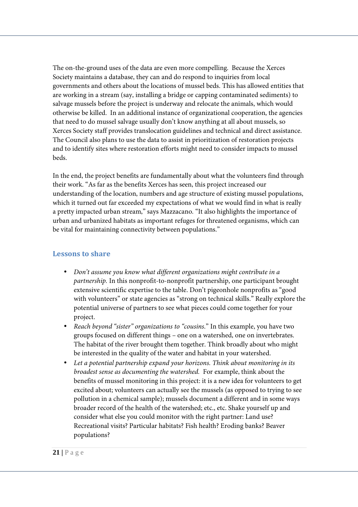The on-the-ground uses of the data are even more compelling. Because the Xerces Society maintains a database, they can and do respond to inquiries from local governments and others about the locations of mussel beds. This has allowed entities that are working in a stream (say, installing a bridge or capping contaminated sediments) to salvage mussels before the project is underway and relocate the animals, which would otherwise be killed. In an additional instance of organizational cooperation, the agencies that need to do mussel salvage usually don't know anything at all about mussels, so Xerces Society staff provides translocation guidelines and technical and direct assistance. The Council also plans to use the data to assist in prioritization of restoration projects and to identify sites where restoration efforts might need to consider impacts to mussel beds.

In the end, the project benefits are fundamentally about what the volunteers find through their work. "As far as the benefits Xerces has seen, this project increased our understanding of the location, numbers and age structure of existing mussel populations, which it turned out far exceeded my expectations of what we would find in what is really a pretty impacted urban stream," says Mazzacano. "It also highlights the importance of urban and urbanized habitats as important refuges for threatened organisms, which can be vital for maintaining connectivity between populations."

## **Lessons to share**

- *Don't assume you know what different organizations might contribute in a partnership.* In this nonprofit-to-nonprofit partnership, one participant brought extensive scientific expertise to the table. Don't pigeonhole nonprofits as "good with volunteers" or state agencies as "strong on technical skills." Really explore the potential universe of partners to see what pieces could come together for your project.
- *Reach beyond "sister" organizations to "cousins.*" In this example, you have two groups focused on different things – one on a watershed, one on invertebrates. The habitat of the river brought them together. Think broadly about who might be interested in the quality of the water and habitat in your watershed.
- *Let a potential partnership expand your horizons. Think about monitoring in its broadest sense as documenting the watershed.* For example, think about the benefits of mussel monitoring in this project: it is a new idea for volunteers to get excited about; volunteers can actually see the mussels (as opposed to trying to see pollution in a chemical sample); mussels document a different and in some ways broader record of the health of the watershed; etc., etc. Shake yourself up and consider what else you could monitor with the right partner: Land use? Recreational visits? Particular habitats? Fish health? Eroding banks? Beaver populations?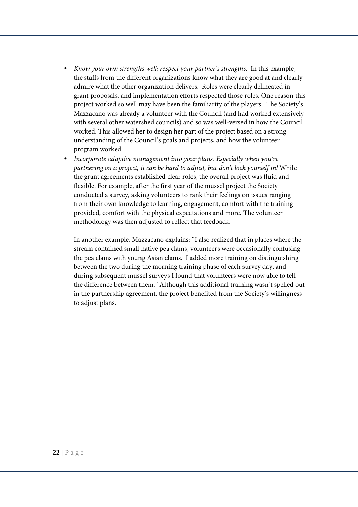- *Know your own strengths well*; *respect your partner's strengths*. In this example, the staffs from the different organizations know what they are good at and clearly admire what the other organization delivers. Roles were clearly delineated in grant proposals, and implementation efforts respected those roles. One reason this project worked so well may have been the familiarity of the players. The Society's Mazzacano was already a volunteer with the Council (and had worked extensively with several other watershed councils) and so was well-versed in how the Council worked. This allowed her to design her part of the project based on a strong understanding of the Council's goals and projects, and how the volunteer program worked.
- *Incorporate adaptive management into your plans. Especially when you're partnering on a project, it can be hard to adjust, but don't lock yourself in!* While the grant agreements established clear roles, the overall project was fluid and flexible. For example, after the first year of the mussel project the Society conducted a survey, asking volunteers to rank their feelings on issues ranging from their own knowledge to learning, engagement, comfort with the training provided, comfort with the physical expectations and more. The volunteer methodology was then adjusted to reflect that feedback.

In another example, Mazzacano explains: "I also realized that in places where the stream contained small native pea clams, volunteers were occasionally confusing the pea clams with young Asian clams. I added more training on distinguishing between the two during the morning training phase of each survey day, and during subsequent mussel surveys I found that volunteers were now able to tell the difference between them." Although this additional training wasn't spelled out in the partnership agreement, the project benefited from the Society's willingness to adjust plans.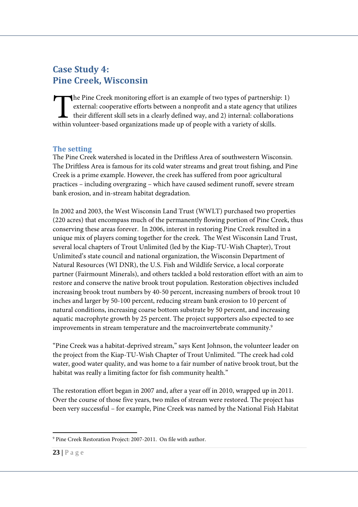# **Case Study 4: Pine Creek, Wisconsin**

he Pine Creek monitoring effort is an example of two types of partnership: 1) external: cooperative efforts between a nonprofit and a state agency that utilizes their different skill sets in a clearly defined way, and 2) internal: collaborations The Pine Creek monitoring effort is an example of two types of partnershi external: cooperative efforts between a nonprofit and a state agency that their different skill sets in a clearly defined way, and 2) internal: coll

### **The setting**

The Pine Creek watershed is located in the Driftless Area of southwestern Wisconsin. The Driftless Area is famous for its cold water streams and great trout fishing, and Pine Creek is a prime example. However, the creek has suffered from poor agricultural practices – including overgrazing – which have caused sediment runoff, severe stream bank erosion, and in-stream habitat degradation.

In 2002 and 2003, the West Wisconsin Land Trust (WWLT) purchased two properties (220 acres) that encompass much of the permanently flowing portion of Pine Creek, thus conserving these areas forever. In 2006, interest in restoring Pine Creek resulted in a unique mix of players coming together for the creek. The West Wisconsin Land Trust, several local chapters of Trout Unlimited (led by the Kiap-TU-Wish Chapter), Trout Unlimited's state council and national organization, the Wisconsin Department of Natural Resources (WI DNR), the U.S. Fish and Wildlife Service, a local corporate partner (Fairmount Minerals), and others tackled a bold restoration effort with an aim to restore and conserve the native brook trout population. Restoration objectives included increasing brook trout numbers by 40-50 percent, increasing numbers of brook trout 10 inches and larger by 50-100 percent, reducing stream bank erosion to 10 percent of natural conditions, increasing coarse bottom substrate by 50 percent, and increasing aquatic macrophyte growth by 25 percent. The project supporters also expected to see improvements in stream temperature and the macroinvertebrate community.<sup>9</sup>

"Pine Creek was a habitat-deprived stream," says Kent Johnson, the volunteer leader on the project from the Kiap-TU-Wish Chapter of Trout Unlimited. "The creek had cold water, good water quality, and was home to a fair number of native brook trout, but the habitat was really a limiting factor for fish community health."

The restoration effort began in 2007 and, after a year off in 2010, wrapped up in 2011. Over the course of those five years, two miles of stream were restored. The project has been very successful – for example, Pine Creek was named by the National Fish Habitat

<sup>-</sup>9 Pine Creek Restoration Project: 2007-2011. On file with author.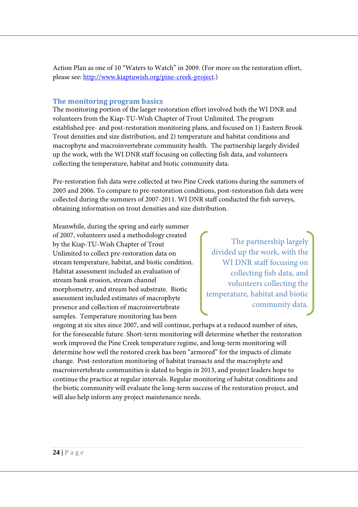Action Plan as one of 10 "Waters to Watch" in 2009. (For more on the restoration effort, please see: http://www.kiaptuwish.org/pine-creek-project.)

### **The monitoring program basics**

The monitoring portion of the larger restoration effort involved both the WI DNR and volunteers from the Kiap-TU-Wish Chapter of Trout Unlimited. The program established pre- and post-restoration monitoring plans, and focused on 1) Eastern Brook Trout densities and size distribution, and 2) temperature and habitat conditions and macrophyte and macroinvertebrate community health. The partnership largely divided up the work, with the WI DNR staff focusing on collecting fish data, and volunteers collecting the temperature, habitat and biotic community data.

Pre-restoration fish data were collected at two Pine Creek stations during the summers of 2005 and 2006. To compare to pre-restoration conditions, post-restoration fish data were collected during the summers of 2007-2011. WI DNR staff conducted the fish surveys, obtaining information on trout densities and size distribution.

Meanwhile, during the spring and early summer of 2007, volunteers used a methodology created by the Kiap-TU-Wish Chapter of Trout Unlimited to collect pre-restoration data on stream temperature, habitat, and biotic condition. Habitat assessment included an evaluation of stream bank erosion, stream channel morphometry, and stream bed substrate. Biotic assessment included estimates of macrophyte presence and collection of macroinvertebrate samples. Temperature monitoring has been

The partnership largely divided up the work, with the WI DNR staff focusing on collecting fish data, and volunteers collecting the temperature, habitat and biotic community data.

ongoing at six sites since 2007, and will continue, perhaps at a reduced number of sites, for the foreseeable future. Short-term monitoring will determine whether the restoration work improved the Pine Creek temperature regime, and long-term monitoring will determine how well the restored creek has been "armored" for the impacts of climate change. Post-restoration monitoring of habitat transacts and the macrophyte and macroinvertebrate communities is slated to begin in 2013, and project leaders hope to continue the practice at regular intervals. Regular monitoring of habitat conditions and the biotic community will evaluate the long-term success of the restoration project, and will also help inform any project maintenance needs.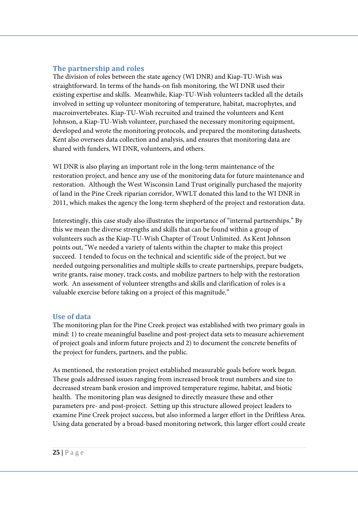### **The partnership and roles**

The division of roles between the state agency (WI DNR) and Kiap-TU-Wish was straightforward. In terms of the hands-on fish monitoring, the WI DNR used their existing expertise and skills. Meanwhile, Kiap-TU-Wish volunteers tackled all the details involved in setting up volunteer monitoring of temperature, habitat, macrophytes, and macroinvertebrates. Kiap-TU-Wish recruited and trained the volunteers and Kent Johnson, a Kiap-TU-Wish volunteer, purchased the necessary monitoring equipment, developed and wrote the monitoring protocols, and prepared the monitoring datasheets. Kent also oversees data collection and analysis, and ensures that monitoring data are shared with funders, WI DNR, volunteers, and others.

WI DNR is also playing an important role in the long-term maintenance of the restoration project, and hence any use of the monitoring data for future maintenance and restoration. Although the West Wisconsin Land Trust originally purchased the majority of land in the Pine Creek riparian corridor, WWLT donated this land to the WI DNR in 2011, which makes the agency the long-term shepherd of the project and restoration data.

Interestingly, this case study also illustrates the importance of "internal partnerships." By this we mean the diverse strengths and skills that can be found within a group of volunteers such as the Kiap-TU-Wish Chapter of Trout Unlimited. As Kent Johnson points out, "We needed a variety of talents within the chapter to make this project succeed. I tended to focus on the technical and scientific side of the project, but we needed outgoing personalities and multiple skills to create partnerships, prepare budgets, write grants, raise money, track costs, and mobilize partners to help with the restoration work. An assessment of volunteer strengths and skills and clarification of roles is a valuable exercise before taking on a project of this magnitude."

#### **Use of data**

The monitoring plan for the Pine Creek project was established with two primary goals in mind: 1) to create meaningful baseline and post-project data sets to measure achievement of project goals and inform future projects and 2) to document the concrete benefits of the project for funders, partners, and the public.

As mentioned, the restoration project established measurable goals before work began. These goals addressed issues ranging from increased brook trout numbers and size to decreased stream bank erosion and improved temperature regime, habitat, and biotic health. The monitoring plan was designed to directly measure these and other parameters pre- and post-project. Setting up this structure allowed project leaders to examine Pine Creek project success, but also informed a larger effort in the Driftless Area. Using data generated by a broad-based monitoring network, this larger effort could create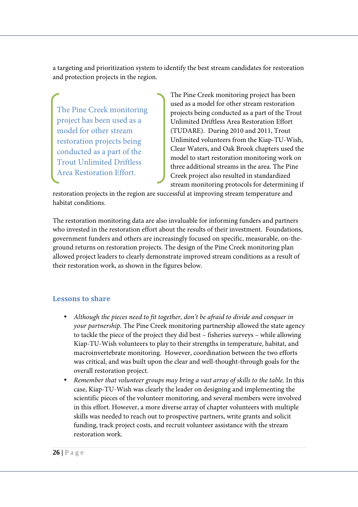a targeting and prioritization system to identify the best stream candidates for restoration and protection projects in the region.

The Pine Creek monitoring project has been used as a model for other stream restoration projects being conducted as a part of the Trout Unlimited Driftless Area Restoration Effort.

The Pine Creek monitoring project has been used as a model for other stream restoration projects being conducted as a part of the Trout Unlimited Driftless Area Restoration Effort (TUDARE). During 2010 and 2011, Trout Unlimited volunteers from the Kiap-TU-Wish, Clear Waters, and Oak Brook chapters used the model to start restoration monitoring work on three additional streams in the area. The Pine Creek project also resulted in standardized stream monitoring protocols for determining if

restoration projects in the region are successful at improving stream temperature and habitat conditions.

The restoration monitoring data are also invaluable for informing funders and partners who invested in the restoration effort about the results of their investment. Foundations, government funders and others are increasingly focused on specific, measurable, on-theground returns on restoration projects. The design of the Pine Creek monitoring plan allowed project leaders to clearly demonstrate improved stream conditions as a result of their restoration work, as shown in the figures below.

### **Lessons to share**

- *Although the pieces need to fit together, don't be afraid to divide and conquer in your partnership.* The Pine Creek monitoring partnership allowed the state agency to tackle the piece of the project they did best – fisheries surveys – while allowing Kiap-TU-Wish volunteers to play to their strengths in temperature, habitat, and macroinvertebrate monitoring. However, coordination between the two efforts was critical, and was built upon the clear and well-thought-through goals for the overall restoration project.
- *Remember that volunteer groups may bring a vast array of skills to the table.* In this case, Kiap-TU-Wish was clearly the leader on designing and implementing the scientific pieces of the volunteer monitoring, and several members were involved in this effort. However, a more diverse array of chapter volunteers with multiple skills was needed to reach out to prospective partners, write grants and solicit funding, track project costs, and recruit volunteer assistance with the stream restoration work.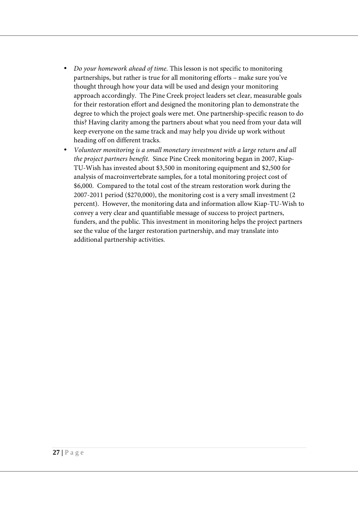- *Do your homework ahead of time.* This lesson is not specific to monitoring partnerships, but rather is true for all monitoring efforts – make sure you've thought through how your data will be used and design your monitoring approach accordingly. The Pine Creek project leaders set clear, measurable goals for their restoration effort and designed the monitoring plan to demonstrate the degree to which the project goals were met. One partnership-specific reason to do this? Having clarity among the partners about what you need from your data will keep everyone on the same track and may help you divide up work without heading off on different tracks.
- *Volunteer monitoring is a small monetary investment with a large return and all the project partners benefit.* Since Pine Creek monitoring began in 2007, Kiap-TU-Wish has invested about \$3,500 in monitoring equipment and \$2,500 for analysis of macroinvertebrate samples, for a total monitoring project cost of \$6,000. Compared to the total cost of the stream restoration work during the 2007-2011 period (\$270,000), the monitoring cost is a very small investment (2 percent). However, the monitoring data and information allow Kiap-TU-Wish to convey a very clear and quantifiable message of success to project partners, funders, and the public. This investment in monitoring helps the project partners see the value of the larger restoration partnership, and may translate into additional partnership activities.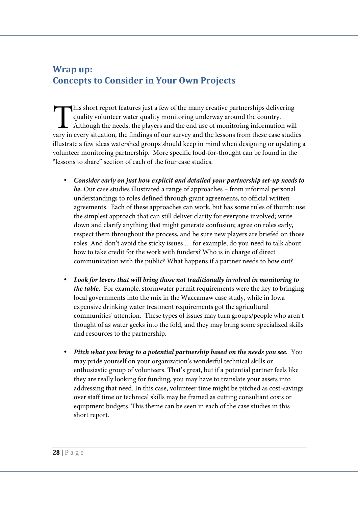# **Wrap up: Concepts to Consider in Your Own Projects**

his short report features just a few of the many creative partnerships delivering quality volunteer water quality monitoring underway around the country.  $\overline{\mathsf{L}}$  Although the needs, the players and the end use of monitoring information will This short report features just a few of the many creative partnerships delivering quality volunteer water quality monitoring underway around the country.<br>Although the needs, the players and the end use of monitoring infor illustrate a few ideas watershed groups should keep in mind when designing or updating a volunteer monitoring partnership. More specific food-for-thought can be found in the "lessons to share" section of each of the four case studies.

- **Consider early on just how explicit and detailed your partnership set-up needs to be.** Our case studies illustrated a range of approaches – from informal personal understandings to roles defined through grant agreements, to official written agreements. Each of these approaches can work, but has some rules of thumb: use the simplest approach that can still deliver clarity for everyone involved; write down and clarify anything that might generate confusion; agree on roles early, respect them throughout the process, and be sure new players are briefed on those roles. And don't avoid the sticky issues … for example, do you need to talk about how to take credit for the work with funders? Who is in charge of direct communication with the public? What happens if a partner needs to bow out?
- **Look for levers that will bring those not traditionally involved in monitoring to the table.** For example, stormwater permit requirements were the key to bringing local governments into the mix in the Waccamaw case study, while in Iowa expensive drinking water treatment requirements got the agricultural communities' attention. These types of issues may turn groups/people who aren't thought of as water geeks into the fold, and they may bring some specialized skills and resources to the partnership.
- **Pitch what you bring to a potential partnership based on the needs you see.** You may pride yourself on your organization's wonderful technical skills or enthusiastic group of volunteers. That's great, but if a potential partner feels like they are really looking for funding, you may have to translate your assets into addressing that need. In this case, volunteer time might be pitched as cost-savings over staff time or technical skills may be framed as cutting consultant costs or equipment budgets. This theme can be seen in each of the case studies in this short report.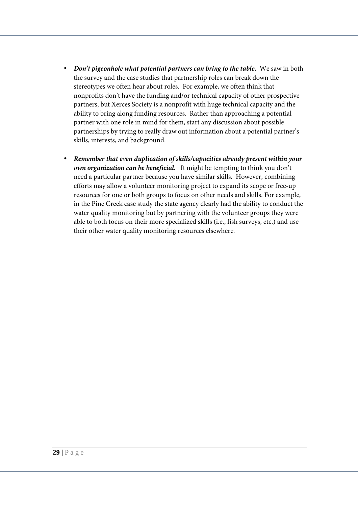- **Don't pigeonhole what potential partners can bring to the table.** We saw in both the survey and the case studies that partnership roles can break down the stereotypes we often hear about roles. For example, we often think that nonprofits don't have the funding and/or technical capacity of other prospective partners, but Xerces Society is a nonprofit with huge technical capacity and the ability to bring along funding resources. Rather than approaching a potential partner with one role in mind for them, start any discussion about possible partnerships by trying to really draw out information about a potential partner's skills, interests, and background.
- **Remember that even duplication of skills/capacities already present within your own organization can be beneficial.** It might be tempting to think you don't need a particular partner because you have similar skills. However, combining efforts may allow a volunteer monitoring project to expand its scope or free-up resources for one or both groups to focus on other needs and skills. For example, in the Pine Creek case study the state agency clearly had the ability to conduct the water quality monitoring but by partnering with the volunteer groups they were able to both focus on their more specialized skills (i.e., fish surveys, etc.) and use their other water quality monitoring resources elsewhere.